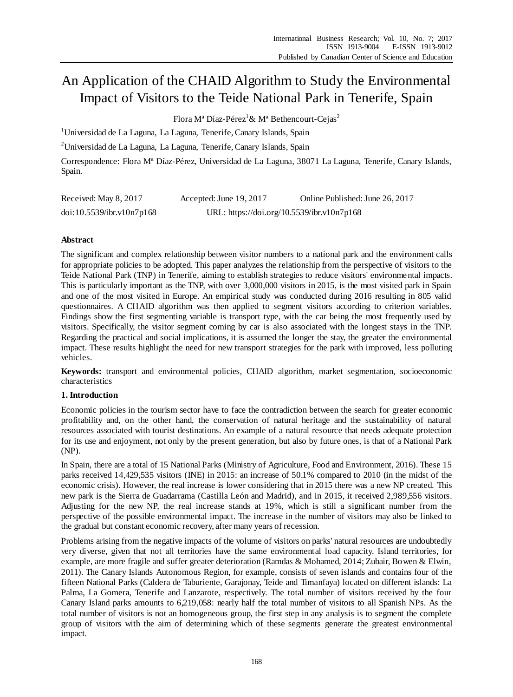# An Application of the CHAID Algorithm to Study the Environmental Impact of Visitors to the Teide National Park in Tenerife, Spain

Flora M<sup>a</sup>D  $\hat{\text{z}}$ -P érez<sup>1</sup>& M<sup>a</sup> Bethencourt-Cejas<sup>2</sup>

<sup>1</sup>Universidad de La Laguna, La Laguna, Tenerife, Canary Islands, Spain

<sup>2</sup>Universidad de La Laguna, La Laguna, Tenerife, Canary Islands, Spain

Correspondence: Flora Mª Díaz-Pérez, Universidad de La Laguna, 38071 La Laguna, Tenerife, Canary Islands, Spain.

| Received: May 8, 2017     | Accepted: June 19, 2017                    | Online Published: June 26, 2017 |
|---------------------------|--------------------------------------------|---------------------------------|
| doi:10.5539/ibr.v10n7p168 | URL: https://doi.org/10.5539/ibr.v10n7p168 |                                 |

# **Abstract**

The significant and complex relationship between visitor numbers to a national park and the environment calls for appropriate policies to be adopted. This paper analyzes the relationship from the perspective of visitors to the Teide National Park (TNP) in Tenerife, aiming to establish strategies to reduce visitors' environmental impacts. This is particularly important as the TNP, with over 3,000,000 visitors in 2015, is the most visited park in Spain and one of the most visited in Europe. An empirical study was conducted during 2016 resulting in 805 valid questionnaires. A CHAID algorithm was then applied to segment visitors according to criterion variables. Findings show the first segmenting variable is transport type, with the car being the most frequently used by visitors. Specifically, the visitor segment coming by car is also associated with the longest stays in the TNP. Regarding the practical and social implications, it is assumed the longer the stay, the greater the environmental impact. These results highlight the need for new transport strategies for the park with improved, less polluting vehicles.

**Keywords:** transport and environmental policies, CHAID algorithm, market segmentation, socioeconomic characteristics

# **1. Introduction**

Economic policies in the tourism sector have to face the contradiction between the search for greater economic profitability and, on the other hand, the conservation of natural heritage and the sustainability of natural resources associated with tourist destinations. An example of a natural resource that needs adequate protection for its use and enjoyment, not only by the present generation, but also by future ones, is that of a National Park (NP).

In Spain, there are a total of 15 National Parks (Ministry of Agriculture, Food and Environment, 2016). These 15 parks received 14,429,535 visitors (INE) in 2015: an increase of 50.1% compared to 2010 (in the midst of the economic crisis). However, the real increase is lower considering that in 2015 there was a new NP created. This new park is the Sierra de Guadarrama (Castilla León and Madrid), and in 2015, it received 2,989,556 visitors. Adjusting for the new NP, the real increase stands at 19%, which is still a significant number from the perspective of the possible environmental impact. The increase in the number of visitors may also be linked to the gradual but constant economic recovery, after many years of recession.

Problems arising from the negative impacts of the volume of visitors on parks' natural resources are undoubtedly very diverse, given that not all territories have the same environmental load capacity. Island territories, for example, are more fragile and suffer greater deterioration (Ramdas & Mohamed, 2014; Zubair, Bowen & Elwin, 2011). The Canary Islands Autonomous Region, for example, consists of seven islands and contains four of the fifteen National Parks (Caldera de Taburiente, Garajonay, Teide and Timanfaya) located on different islands: La Palma, La Gomera, Tenerife and Lanzarote, respectively. The total number of visitors received by the four Canary Island parks amounts to 6,219,058: nearly half the total number of visitors to all Spanish NPs. As the total number of visitors is not an homogeneous group, the first step in any analysis is to segment the complete group of visitors with the aim of determining which of these segments generate the greatest environmental impact.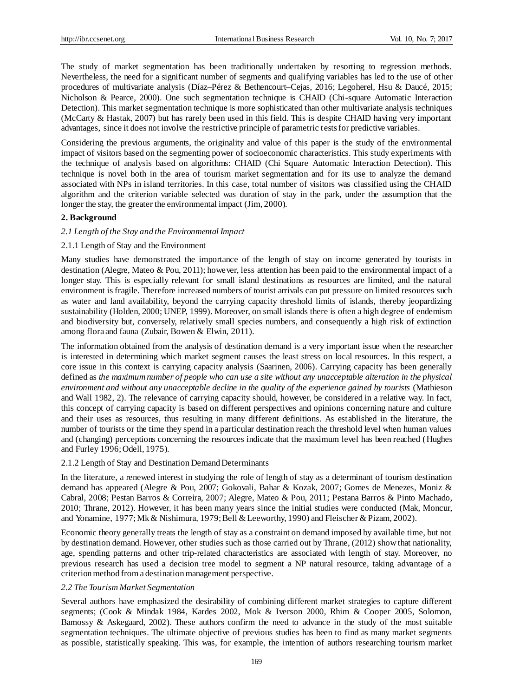The study of market segmentation has been traditionally undertaken by resorting to regression methods. Nevertheless, the need for a significant number of segments and qualifying variables has led to the use of other procedures of multivariate analysis (Díaz–Pérez & Bethencourt–Cejas, 2016; Legoherel, Hsu & Daucé, 2015; Nicholson & Pearce, 2000). One such segmentation technique is CHAID (Chi-square Automatic Interaction Detection). This market segmentation technique is more sophisticated than other multivariate analysis techniques (McCarty & Hastak, 2007) but has rarely been used in this field. This is despite CHAID having very important advantages, since it does not involve the restrictive principle of parametric tests for predictive variables.

Considering the previous arguments, the originality and value of this paper is the study of the environmental impact of visitors based on the segmenting power of socioeconomic characteristics. This study experiments with the technique of analysis based on algorithms: CHAID (Chi Square Automatic Interaction Detection). This technique is novel both in the area of tourism market segmentation and for its use to analyze the demand associated with NPs in island territories. In this case, total number of visitors was classified using the CHAID algorithm and the criterion variable selected was duration of stay in the park, under the assumption that the longer the stay, the greater the environmental impact (Jim, 2000).

## **2. Background**

## *2.1 Length of the Stay and the Environmental Impact*

## 2.1.1 Length of Stay and the Environment

Many studies have demonstrated the importance of the length of stay on income generated by tourists in destination (Alegre, Mateo & Pou, 2011); however, less attention has been paid to the environmental impact of a longer stay. This is especially relevant for small island destinations as resources are limited, and the natural environment is fragile. Therefore increased numbers of tourist arrivals can put pressure on limited resources such as water and land availability, beyond the carrying capacity threshold limits of islands, thereby jeopardizing sustainability (Holden, 2000; UNEP, 1999). Moreover, on small islands there is often a high degree of endemism and biodiversity but, conversely, relatively small species numbers, and consequently a high risk of extinction among flora and fauna (Zubair, Bowen & Elwin, 2011).

The information obtained from the analysis of destination demand is a very important issue when the researcher is interested in determining which market segment causes the least stress on local resources. In this respect, a core issue in this context is carrying capacity analysis (Saarinen, 2006). Carrying capacity has been generally defined as *the maximum number of people who can use a site without any unacceptable alteration in the physical environment and without any unacceptable decline in the quality of the experience gained by tourists* (Mathieson and Wall 1982, 2). The relevance of carrying capacity should, however, be considered in a relative way. In fact, this concept of carrying capacity is based on different perspectives and opinions concerning nature and culture and their uses as resources, thus resulting in many different definitions. As established in the literature, the number of tourists or the time they spend in a particular destination reach the threshold level when human values and (changing) perceptions concerning the resources indicate that the maximum level has been reached [\(Hughes](http://www.sciencedirect.com.accedys2.bbtk.ull.es/science/article/pii/S0160738306000909#bib41)  [and Furley 1996; Odell, 1975](http://www.sciencedirect.com.accedys2.bbtk.ull.es/science/article/pii/S0160738306000909#bib41)).

#### 2.1.2 Length of Stay and Destination Demand Determinants

In the literature, a renewed interest in studying the role of length of stay as a determinant of tourism destination demand has appeared (Alegre & Pou, 2007; Gokovali, Bahar & Kozak, 2007; Gomes de Menezes, Moniz & Cabral, 2008; Pestan Barros & Correira, 2007; Alegre, Mateo & Pou, 2011; Pestana Barros & Pinto Machado, 2010; Thrane, 2012). However, it has been many years since the initial studies were conducted (Mak, Moncur, and Yonamine, 1977; Mk & Nishimura, 1979; Bell & Leeworthy, 1990) and Fleischer & Pizam, 2002).

Economic theory generally treats the length of stay as a constraint on demand imposed by available time, but not by destination demand. However, other studies such as those carried out by Thrane, (2012) show that nationality, age, spending patterns and other trip-related characteristics are associated with length of stay. Moreover, no previous research has used a decision tree model to segment a NP natural resource, taking advantage of a criterion method from a destination management perspective.

#### *2.2 The Tourism Market Segmentation*

Several authors have emphasized the desirability of combining different market strategies to capture different segments; (Cook & Mindak 1984, Kardes 2002, Mok & Iverson 2000, Rhim & Cooper 2005, Solomon, Bamossy & Askegaard, 2002). These authors confirm the need to advance in the study of the most suitable segmentation techniques. The ultimate objective of previous studies has been to find as many market segments as possible, statistically speaking. This was, for example, the intention of authors researching tourism market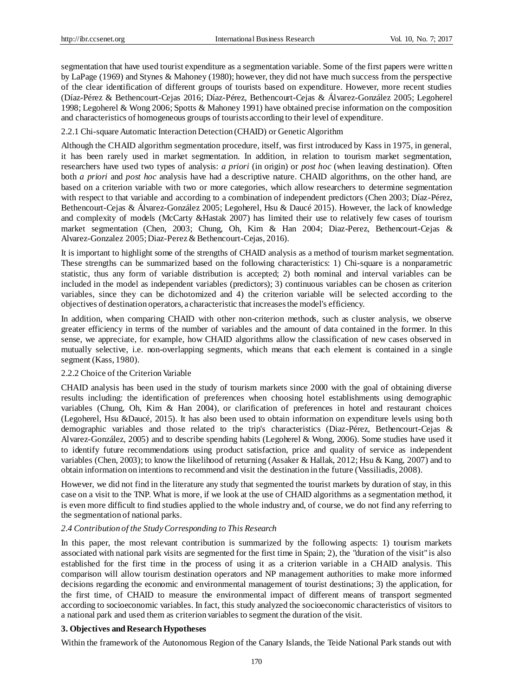segmentation that have used tourist expenditure as a segmentation variable. Some of the first papers were written by LaPage (1969) and Stynes & Mahoney (1980); however, they did not have much success from the perspective of the clear identification of different groups of tourists based on expenditure. However, more recent studies (Díaz-Pérez & Bethencourt-Cejas 2016; Díaz-Pérez, Bethencourt-Cejas & Álvarez-González 2005; Legoherel 1998; Legoherel & Wong 2006; Spotts & Mahoney 1991) have obtained precise information on the composition and characteristics of homogeneous groups of tourists according to their level of expenditure.

2.2.1 Chi-square Automatic Interaction Detection (CHAID) or Genetic Algorithm

Although the CHAID algorithm segmentation procedure, itself, was first introduced by Kass in 1975, in general, it has been rarely used in market segmentation. In addition, in relation to tourism market segmentation, researchers have used two types of analysis: *a priori* (in origin) or *post hoc* (when leaving destination). Often both *a priori* and *post hoc* analysis have had a descriptive nature. CHAID algorithms, on the other hand, are based on a criterion variable with two or more categories, which allow researchers to determine segmentation with respect to that variable and according to a combination of independent predictors (Chen 2003; D  $\acute{u}z$ -Pérez, Bethencourt-Cejas & Álvarez-Gonz aez 2005; Legoherel, Hsu & Dauc é 2015). However, the lack of knowledge and complexity of models (McCarty &Hastak 2007) has limited their use to relatively few cases of tourism market segmentation (Chen, 2003; Chung, Oh, Kim & Han 2004; Diaz-Perez, Bethencourt-Cejas & Alvarez-Gonzalez 2005; Diaz-Perez & Bethencourt-Cejas, 2016).

It is important to highlight some of the strengths of CHAID analysis as a method of tourism market segmentation. These strengths can be summarized based on the following characteristics: 1) Chi-square is a nonparametric statistic, thus any form of variable distribution is accepted; 2) both nominal and interval variables can be included in the model as independent variables (predictors); 3) continuous variables can be chosen as criterion variables, since they can be dichotomized and 4) the criterion variable will be selected according to the objectives of destination operators, a characteristic that increases the model's efficiency.

In addition, when comparing CHAID with other non-criterion methods, such as cluster analysis, we observe greater efficiency in terms of the number of variables and the amount of data contained in the former. In this sense, we appreciate, for example, how CHAID algorithms allow the classification of new cases observed in mutually selective, i.e. non-overlapping segments, which means that each element is contained in a single segment (Kass, 1980).

# 2.2.2 Choice of the Criterion Variable

CHAID analysis has been used in the study of tourism markets since 2000 with the goal of obtaining diverse results including: the identification of preferences when choosing hotel establishments using demographic variables (Chung, Oh, Kim & Han 2004), or clarification of preferences in hotel and restaurant choices (Legoherel, Hsu &Daucé, 2015). It has also been used to obtain information on expenditure levels using both demographic variables and those related to the trip's characteristics (Diaz-Pérez, Bethencourt-Cejas & Alvarez-González, 2005) and to describe spending habits (Legoherel & Wong, 2006). Some studies have used it to identify future recommendations using product satisfaction, price and quality of service as independent variables (Chen, 2003); to know the likelihood of returning (Assaker & Hallak, 2012; Hsu & Kang, 2007) and to obtain information on intentions to recommend and visit the destination in the future (Vassiliadis, 2008).

However, we did not find in the literature any study that segmented the tourist markets by duration of stay, in this case on a visit to the TNP. What is more, if we look at the use of CHAID algorithms as a segmentation method, it is even more difficult to find studies applied to the whole industry and, of course, we do not find any referring to the segmentation of national parks.

# *2.4 Contribution of the Study Corresponding to This Research*

In this paper, the most relevant contribution is summarized by the following aspects: 1) tourism markets associated with national park visits are segmented for the first time in Spain; 2), the "duration of the visit" is also established for the first time in the process of using it as a criterion variable in a CHAID analysis. This comparison will allow tourism destination operators and NP management authorities to make more informed decisions regarding the economic and environmental management of tourist destinations; 3) the application, for the first time, of CHAID to measure the environmental impact of different means of transport segmented according to socioeconomic variables. In fact, this study analyzed the socioeconomic characteristics of visitors to a national park and used them as criterion variables to segment the duration of the visit.

# **3. Objectives and Research Hypotheses**

Within the framework of the Autonomous Region of the Canary Islands, the Teide National Park stands out with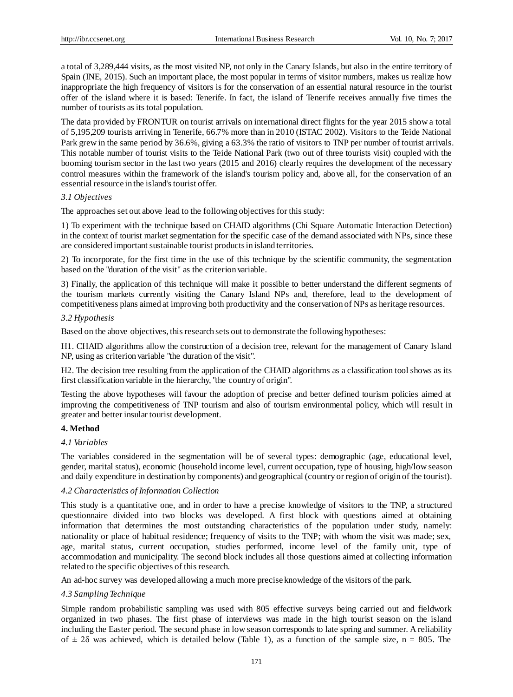a total of 3,289,444 visits, as the most visited NP, not only in the Canary Islands, but also in the entire territory of Spain (INE, 2015). Such an important place, the most popular in terms of visitor numbers, makes us realize how inappropriate the high frequency of visitors is for the conservation of an essential natural resource in the tourist offer of the island where it is based: Tenerife. In fact, the island of Tenerife receives annually five times the number of tourists as its total population.

The data provided by FRONTUR on tourist arrivals on international direct flights for the year 2015 show a total of 5,195,209 tourists arriving in Tenerife, 66.7% more than in 2010 (ISTAC 2002). Visitors to the Teide National Park grew in the same period by 36.6%, giving a 63.3% the ratio of visitors to TNP per number of tourist arrivals. This notable number of tourist visits to the Teide National Park (two out of three tourists visit) coupled with the booming tourism sector in the last two years (2015 and 2016) clearly requires the development of the necessary control measures within the framework of the island's tourism policy and, above all, for the conservation of an essential resource in the island's tourist offer.

#### *3.1 Objectives*

The approaches set out above lead to the following objectives for this study:

1) To experiment with the technique based on CHAID algorithms (Chi Square Automatic Interaction Detection) in the context of tourist market segmentation for the specific case of the demand associated with NPs, since these are considered important sustainable tourist products in island territories.

2) To incorporate, for the first time in the use of this technique by the scientific community, the segmentation based on the "duration of the visit" as the criterion variable.

3) Finally, the application of this technique will make it possible to better understand the different segments of the tourism markets currently visiting the Canary Island NPs and, therefore, lead to the development of competitiveness plans aimed at improving both productivity and the conservation of NPs as heritage resources.

## *3.2 Hypothesis*

Based on the above objectives, this research sets out to demonstrate the following hypotheses:

H1. CHAID algorithms allow the construction of a decision tree, relevant for the management of Canary Island NP, using as criterion variable "the duration of the visit".

H2. The decision tree resulting from the application of the CHAID algorithms as a classification tool shows as its first classification variable in the hierarchy, "the country of origin".

Testing the above hypotheses will favour the adoption of precise and better defined tourism policies aimed at improving the competitiveness of TNP tourism and also of tourism environmental policy, which will result in greater and better insular tourist development.

# **4. Method**

#### *4.1 Variables*

The variables considered in the segmentation will be of several types: demographic (age, educational level, gender, marital status), economic (household income level, current occupation, type of housing, high/low season and daily expenditure in destination by components) and geographical (country or region of origin of the tourist).

# *4.2 Characteristics of Information Collection*

This study is a quantitative one, and in order to have a precise knowledge of visitors to the TNP, a structured questionnaire divided into two blocks was developed. A first block with questions aimed at obtaining information that determines the most outstanding characteristics of the population under study, namely: nationality or place of habitual residence; frequency of visits to the TNP; with whom the visit was made; sex, age, marital status, current occupation, studies performed, income level of the family unit, type of accommodation and municipality. The second block includes all those questions aimed at collecting information related to the specific objectives of this research.

An ad-hoc survey was developed allowing a much more precise knowledge of the visitors of the park.

# *4.3 Sampling Technique*

Simple random probabilistic sampling was used with 805 effective surveys being carried out and fieldwork organized in two phases. The first phase of interviews was made in the high tourist season on the island including the Easter period. The second phase in low season corresponds to late spring and summer. A reliability of  $\pm$  2 $\delta$  was achieved, which is detailed below (Table 1), as a function of the sample size, n = 805. The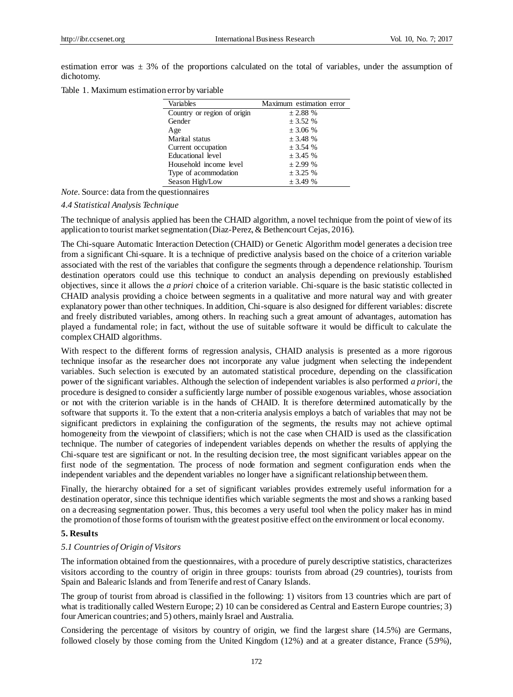estimation error was  $\pm 3\%$  of the proportions calculated on the total of variables, under the assumption of dichotomy.

Table 1. Maximum estimation error by variable

| Variables                   | Maximum estimation error |
|-----------------------------|--------------------------|
| Country or region of origin | $\pm 2.88$ %             |
| Gender                      | $\pm 3.52 \%$            |
| Age                         | $\pm 3.06 \%$            |
| Marital status              | $\pm$ 3.48 %             |
| Current occupation          | $\pm 3.54$ %             |
| Educational level           | $\pm 3.45 \%$            |
| Household income level      | $\pm 2.99 \%$            |
| Type of acommodation        | $\pm 3.25 \%$            |
| Season High/Low             | $+3.49%$                 |

*Note.* Source: data from the questionnaires

## *4.4 Statistical Analysis Technique*

The technique of analysis applied has been the CHAID algorithm, a novel technique from the point of view of its application to tourist market segmentation (Diaz-Perez, & Bethencourt Cejas, 2016).

The Chi-square Automatic Interaction Detection (CHAID) or Genetic Algorithm model generates a decision tree from a significant Chi-square. It is a technique of predictive analysis based on the choice of a criterion variable associated with the rest of the variables that configure the segments through a dependence relationship. Tourism destination operators could use this technique to conduct an analysis depending on previously established objectives, since it allows the *a priori* choice of a criterion variable. Chi-square is the basic statistic collected in CHAID analysis providing a choice between segments in a qualitative and more natural way and with greater explanatory power than other techniques. In addition, Chi-square is also designed for different variables: discrete and freely distributed variables, among others. In reaching such a great amount of advantages, automation has played a fundamental role; in fact, without the use of suitable software it would be difficult to calculate the complex CHAID algorithms.

With respect to the different forms of regression analysis, CHAID analysis is presented as a more rigorous technique insofar as the researcher does not incorporate any value judgment when selecting the independent variables. Such selection is executed by an automated statistical procedure, depending on the classification power of the significant variables. Although the selection of independent variables is also performed *a priori*, the procedure is designed to consider a sufficiently large number of possible exogenous variables, whose association or not with the criterion variable is in the hands of CHAID. It is therefore determined automatically by the software that supports it. To the extent that a non-criteria analysis employs a batch of variables that may not be significant predictors in explaining the configuration of the segments, the results may not achieve optimal homogeneity from the viewpoint of classifiers; which is not the case when CHAID is used as the classification technique. The number of categories of independent variables depends on whether the results of applying the Chi-square test are significant or not. In the resulting decision tree, the most significant variables appear on the first node of the segmentation. The process of node formation and segment configuration ends when the independent variables and the dependent variables no longer have a significant relationship between them.

Finally, the hierarchy obtained for a set of significant variables provides extremely useful information for a destination operator, since this technique identifies which variable segments the most and shows a ranking based on a decreasing segmentation power. Thus, this becomes a very useful tool when the policy maker has in mind the promotion of those forms of tourism with the greatest positive effect on the environment or local economy.

#### **5. Results**

#### *5.1 Countries of Origin of Visitors*

The information obtained from the questionnaires, with a procedure of purely descriptive statistics, characterizes visitors according to the country of origin in three groups: tourists from abroad (29 countries), tourists from Spain and Balearic Islands and from Tenerife and rest of Canary Islands.

The group of tourist from abroad is classified in the following: 1) visitors from 13 countries which are part of what is traditionally called Western Europe; 2) 10 can be considered as Central and Eastern Europe countries; 3) four American countries; and 5) others, mainly Israel and Australia.

Considering the percentage of visitors by country of origin, we find the largest share (14.5%) are Germans, followed closely by those coming from the United Kingdom (12%) and at a greater distance, France (5.9%),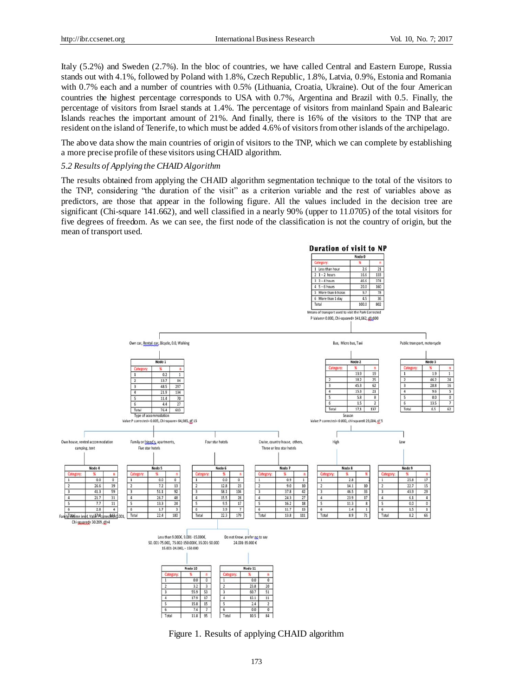Italy (5.2%) and Sweden (2.7%). In the bloc of countries, we have called Central and Eastern Europe, Russia stands out with 4.1%, followed by Poland with 1.8%, Czech Republic, 1.8%, Latvia, 0.9%, Estonia and Romania with 0.7% each and a number of countries with 0.5% (Lithuania, Croatia, Ukraine). Out of the four American countries the highest percentage corresponds to USA with 0.7%, Argentina and Brazil with 0.5. Finally, the percentage of visitors from Israel stands at 1.4%. The percentage of visitors from mainland Spain and Balearic Islands reaches the important amount of 21%. And finally, there is 16% of the visitors to the TNP that are resident on the island of Tenerife, to which must be added 4.6% of visitors from other islands of the archipelago.

The above data show the main countries of origin of visitors to the TNP, which we can complete by establishing a more precise profile of these visitors using CHAID algorithm.

## *5.2 Results of Applying the CHAID Algorithm*

The results obtained from applying the CHAID algorithm segmentation technique to the total of the visitors to the TNP, considering "the duration of the visit" as a criterion variable and the rest of variables above as predictors, are those that appear in the following figure. All the values included in the decision tree are significant (Chi-square 141.662), and well classified in a nearly 90% (upper to 11.0705) of the total visitors for five degrees of freedom. As we can see, the first node of the classification is not the country of origin, but the mean of transport used.



Figure 1. Results of applying CHAID algorithm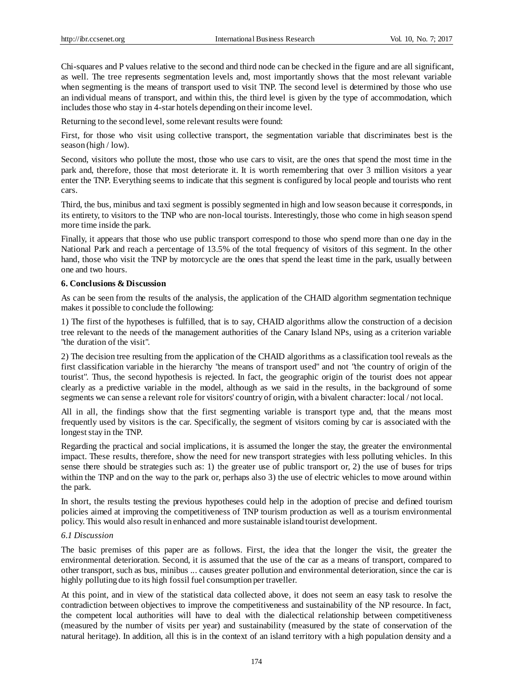Chi-squares and P values relative to the second and third node can be checked in the figure and are all significant, as well. The tree represents segmentation levels and, most importantly shows that the most relevant variable when segmenting is the means of transport used to visit TNP. The second level is determined by those who use an individual means of transport, and within this, the third level is given by the type of accommodation, which includes those who stay in 4-star hotels depending on their income level.

Returning to the second level, some relevant results were found:

First, for those who visit using collective transport, the segmentation variable that discriminates best is the season (high / low).

Second, visitors who pollute the most, those who use cars to visit, are the ones that spend the most time in the park and, therefore, those that most deteriorate it. It is worth remembering that over 3 million visitors a year enter the TNP. Everything seems to indicate that this segment is configured by local people and tourists who rent cars.

Third, the bus, minibus and taxi segment is possibly segmented in high and low season because it corresponds, in its entirety, to visitors to the TNP who are non-local tourists. Interestingly, those who come in high season spend more time inside the park.

Finally, it appears that those who use public transport correspond to those who spend more than one day in the National Park and reach a percentage of 13.5% of the total frequency of visitors of this segment. In the other hand, those who visit the TNP by motorcycle are the ones that spend the least time in the park, usually between one and two hours.

# **6. Conclusions & Discussion**

As can be seen from the results of the analysis, the application of the CHAID algorithm segmentation technique makes it possible to conclude the following:

1) The first of the hypotheses is fulfilled, that is to say, CHAID algorithms allow the construction of a decision tree relevant to the needs of the management authorities of the Canary Island NPs, using as a criterion variable "the duration of the visit".

2) The decision tree resulting from the application of the CHAID algorithms as a classification tool reveals as the first classification variable in the hierarchy "the means of transport used" and not "the country of origin of the tourist". Thus, the second hypothesis is rejected. In fact, the geographic origin of the tourist does not appear clearly as a predictive variable in the model, although as we said in the results, in the background of some segments we can sense a relevant role for visitors' country of origin, with a bivalent character: local / not local.

All in all, the findings show that the first segmenting variable is transport type and, that the means most frequently used by visitors is the car. Specifically, the segment of visitors coming by car is associated with the longest stay in the TNP.

Regarding the practical and social implications, it is assumed the longer the stay, the greater the environmental impact. These results, therefore, show the need for new transport strategies with less polluting vehicles. In this sense there should be strategies such as: 1) the greater use of public transport or, 2) the use of buses for trips within the TNP and on the way to the park or, perhaps also 3) the use of electric vehicles to move around within the park.

In short, the results testing the previous hypotheses could help in the adoption of precise and defined tourism policies aimed at improving the competitiveness of TNP tourism production as well as a tourism environmental policy. This would also result in enhanced and more sustainable island tourist development.

# *6.1 Discussion*

The basic premises of this paper are as follows. First, the idea that the longer the visit, the greater the environmental deterioration. Second, it is assumed that the use of the car as a means of transport, compared to other transport, such as bus, minibus ... causes greater pollution and environmental deterioration, since the car is highly polluting due to its high fossil fuel consumption per traveller.

At this point, and in view of the statistical data collected above, it does not seem an easy task to resolve the contradiction between objectives to improve the competitiveness and sustainability of the NP resource. In fact, the competent local authorities will have to deal with the dialectical relationship between competitiveness (measured by the number of visits per year) and sustainability (measured by the state of conservation of the natural heritage). In addition, all this is in the context of an island territory with a high population density and a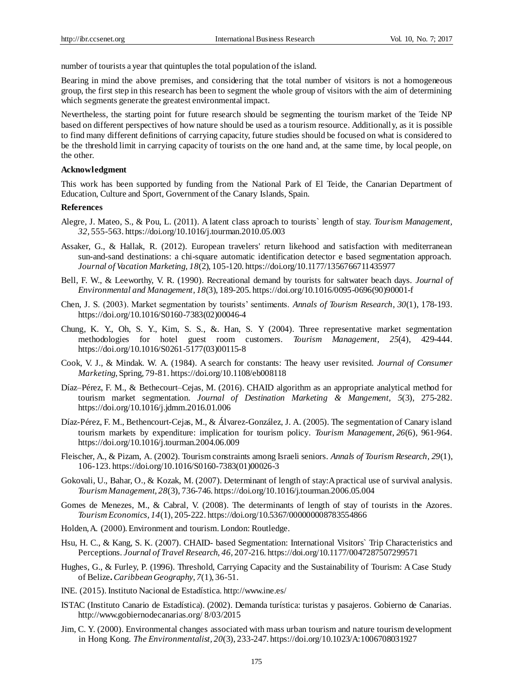number of tourists a year that quintuples the total population of the island.

Bearing in mind the above premises, and considering that the total number of visitors is not a homogeneous group, the first step in this research has been to segment the whole group of visitors with the aim of determining which segments generate the greatest environmental impact.

Nevertheless, the starting point for future research should be segmenting the tourism market of the Teide NP based on different perspectives of how nature should be used as a tourism resource. Additionally, as it is possible to find many different definitions of carrying capacity, future studies should be focused on what is considered to be the threshold limit in carrying capacity of tourists on the one hand and, at the same time, by local people, on the other.

# **Acknowledgment**

This work has been supported by funding from the National Park of El Teide, the Canarian Department of Education, Culture and Sport, Government of the Canary Islands, Spain.

#### **References**

- Alegre, J. Mateo, S., & Pou, L. (2011). A latent class aproach to tourists` length of stay. *Tourism Management, 32,* 555-563[. https://doi.org/10.1016/j.tourman.2010.05.003](https://doi.org/10.1016/j.tourman.2010.05.003)
- Assaker, G., & Hallak, R. (2012). European travelers' return likehood and satisfaction with mediterranean sun-and-sand destinations: a chi-square automatic identification detector e based segmentation approach. *Journal of Vacation Marketing, 18*(2), 105-120[. https://doi.org/10.1177/1356766711435977](https://doi.org/10.1177/1356766711435977)
- Bell, F. W., & Leeworthy, V. R. (1990). Recreational demand by tourists for saltwater beach days. *Journal of Environmental and Management, 18*(3), 189-205[. https://doi.org/10.1016/0095-0696\(90\)90001-f](https://doi.org/10.1016/0095-0696%2890%2990001-f)
- Chen, J. S. (2003). Market segmentation by tourists' sentiments. *Annals of Tourism Research*, *30*(1), 178-193. [https://doi.org/10.1016/S0160-7383\(02\)00046-4](https://doi.org/10.1016/S0160-7383%2802%2900046-4)
- Chung, K. Y., Oh, S. Y., Kim, S. S., &. Han, S. Y (2004). Three representative market segmentation methodologies for hotel guest room customers. *Tourism Management*, *25*(4), 429-444. [https://doi.org/10.1016/S0261-5177\(03\)00115-8](https://doi.org/10.1016/S0261-5177%2803%2900115-8)
- Cook, V. J., & Mindak. W. A. (1984). A search for constants: The heavy user revisited. *Journal of Consumer Marketing*, Spring, 79-81[. https://doi.org/10.1108/eb008118](https://doi.org/10.1108/eb008118)
- Díaz–Pérez, F. M., & Bethecourt–Cejas, M. (2016). CHAID algorithm as an appropriate analytical method for tourism market segmentation. *Journal of Destination Marketing & Mangement, 5*(3), 275-282. <https://doi.org/10.1016/j.jdmm.2016.01.006>
- Díaz-Pérez, F. M., Bethencourt-Cejas, M., & Álvarez-González, J. A. (2005). The segmentation of Canary island tourism markets by expenditure: implication for tourism policy*. Tourism Management*, *26*(6), 961-964. <https://doi.org/10.1016/j.tourman.2004.06.009>
- Fleischer, A., & Pizam, A. (2002). Tourism constraints among Israeli seniors. *Annals of Tourism Research, 29*(1), 106-123. https://doi.org/10.1016/S0160-7383(01)00026-3
- Gokovali, U., Bahar, O., & Kozak, M. (2007). Determinant of length of stay:A practical use of survival analysis. *Tourism Management*, *28*(3), 736-746. <https://doi.org/10.1016/j.tourman.2006.05.004>
- Gomes de Menezes, M., & Cabral, V. (2008). The determinants of length of stay of tourists in the Azores. *Tourism Economics, 14*(1), 205-222. <https://doi.org/10.5367/000000008783554866>
- Holden, A. (2000). Environment and tourism. London: Routledge.
- Hsu, H. C., & Kang, S. K. (2007). CHAID- based Segmentation: International Visitors` Trip Characteristics and Perceptions. *Journal of Travel Research, 46,* 207-216[. https://doi.org/10.1177/0047287507299571](https://doi.org/10.1177/0047287507299571)
- Hughes, G., & Furley, P. (1996). Threshold, Carrying Capacity and the Sustainability of Tourism: A Case Study of Belize**.** *Caribbean Geography*, *7*(1), 36-51.
- INE. (2015). Instituto Nacional de Estad ística[. http://www.ine.es/](http://www.ine.es/)
- ISTAC (Instituto Canario de Estadística). (2002). Demanda turística: turistas y pasajeros. Gobierno de Canarias. <http://www.gobiernodecanarias.org/> 8/03/2015
- Jim, C. Y. (2000). Environmental changes associated with mass urban tourism and nature tourism development in Hong Kong. *The Environmentalist, 20*(3), 233-247[. https://doi.org/10.1023/A:1006708031927](https://doi.org/10.1023/A:1006708031927)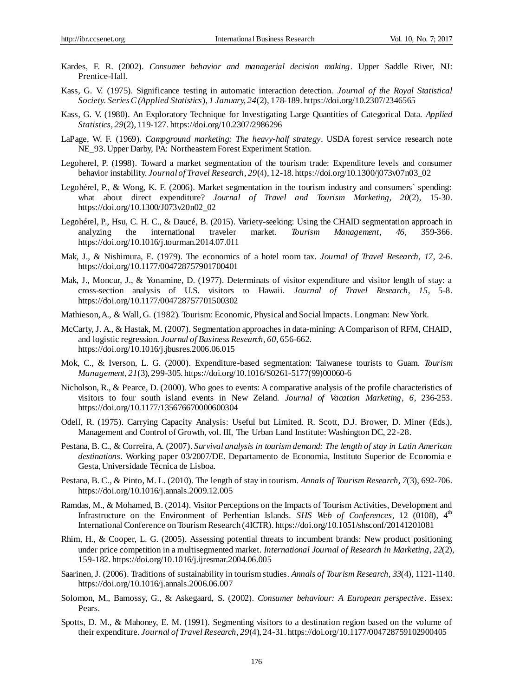- Kardes, F. R. (2002). *Consumer behavior and managerial decision making*. Upper Saddle River, NJ: Prentice-Hall.
- Kass, G. V. (1975). Significance testing in automatic interaction detection. *Journal of the Royal Statistical Society. Series C (Applied Statistics*), *1 January, 24*(2), 178-189[. https://doi.org/10.2307/2346565](https://doi.org/10.2307/2346565)
- Kass, G. V. (1980). An Exploratory Technique for Investigating Large Quantities of Categorical Data. *Applied Statistics*, *29*(2), 119-127[. https://doi.org/10.2307/2986296](https://doi.org/10.2307/2986296)
- LaPage, W. F. (1969). *Campground marketing: The heavy-half strategy*. USDA forest service research note NE\_93. Upper Darby, PA: Northeastern Forest Experiment Station.
- Legoherel, P. (1998). Toward a market segmentation of the tourism trade: Expenditure levels and consumer behavior instability. *Journal of Travel Research, 29*(4), 12-18[. https://doi.org/10.1300/j073v07n03\\_02](https://doi.org/10.1300/j073v07n03_02)
- Legohérel, P., & Wong, K. F. (2006). Market segmentation in the tourism industry and consumers` spending: what about direct expenditure? *Journal of Travel and Tourism Marketing, 20*(2), 15-30. [https://doi.org/10.1300/J073v20n02\\_02](https://doi.org/10.1300/J073v20n02_02)
- Legohérel, P., Hsu, C. H. C., & Daucé, B. (2015). Variety-seeking: Using the CHAID segmentation approach in analyzing the international traveler market. *Tourism Management, 46,* 359-366. <https://doi.org/10.1016/j.tourman.2014.07.011>
- Mak, J., & Nishimura, E. (1979). The economics of a hotel room tax*. Journal of Travel Research, 17,* 2-6. <https://doi.org/10.1177/004728757901700401>
- Mak, J., Moncur, J., & Yonamine, D. (1977). Determinats of visitor expenditure and visitor length of stay: a cross-section analysis of U.S. visitors to Hawaii. *Journal of Travel Research, 15,* 5-8. <https://doi.org/10.1177/004728757701500302>
- Mathieson, A., & Wall, G. (1982). Tourism: Economic, Physical and Social Impacts. Longman: New York.
- McCarty, J. A., & Hastak, M. (2007). Segmentation approaches in data-mining: A Comparison of RFM, CHAID, and logistic regression. *Journal of Business Research, 60,* 656-662. <https://doi.org/10.1016/j.jbusres.2006.06.015>
- Mok, C., & Iverson, L. G. (2000). Expenditure-based segmentation: Taiwanese tourists to Guam. *Tourism Management*, *21*(3), 299-305[. https://doi.org/10.1016/S0261-5177\(99\)00060-6](https://doi.org/10.1016/S0261-5177%2899%2900060-6)
- Nicholson, R., & Pearce, D. (2000). Who goes to events: A comparative analysis of the profile characteristics of visitors to four south island events in New Zeland. *Journal of Vacation Marketing*, *6,* 236-253. <https://doi.org/10.1177/135676670000600304>
- Odell, R. (1975). Carrying Capacity Analysis: Useful but Limited. R. Scott, D.J. Brower, D. Miner (Eds.), Management and Control of Growth, vol. III, The Urban Land Institute: Washington DC, 22-28.
- Pestana, B. C., & Correira, A. (2007). *Survival analysis in tourism demand: The length of stay in Latin American destinations*. Working paper 03/2007/DE. Departamento de Economia, Instituto Superior de Economia e Gesta, Universidade Técnica de Lisboa.
- Pestana, B. C., & Pinto, M. L. (2010). The length of stay in tourism. *Annals of Tourism Research, 7*(3), 692-706. <https://doi.org/10.1016/j.annals.2009.12.005>
- Ramdas, M., & Mohamed, B. (2014). Visitor Perceptions on the Impacts of Tourism Activities, Development and Infrastructure on the Environment of Perhentian Islands. *SHS Web of Conferences*, 12 (0108), 4<sup>th</sup> International Conference on Tourism Research (4ICTR)[. https://doi.org/10.1051/shsconf/20141201081](https://doi.org/10.1051/shsconf/20141201081)
- Rhim, H., & Cooper, L. G. (2005). Assessing potential threats to incumbent brands: New product positioning under price competition in a multisegmented market. *International Journal of Research in Marketing*, *22*(2), 159-182[. https://doi.org/10.1016/j.ijresmar.2004.06.005](https://doi.org/10.1016/j.ijresmar.2004.06.005)
- Saarinen, J. (2006). Traditions of sustainability in tourism studies. *Annals of Tourism Research, 33*(4), 1121-1140. <https://doi.org/10.1016/j.annals.2006.06.007>
- Solomon, M., Bamossy, G., & Askegaard, S. (2002). *Consumer behaviour: A European perspective*. Essex: Pears.
- Spotts, D. M., & Mahoney, E. M. (1991). Segmenting visitors to a destination region based on the volume of their expenditure. *Journal of Travel Research*, *29*(4), 24-31[. https://doi.org/10.1177/004728759102900405](https://doi.org/10.1177/004728759102900405)